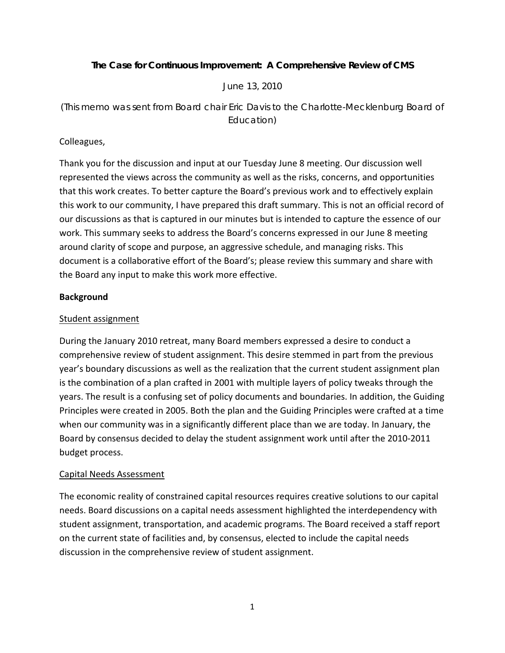## **The Case for Continuous Improvement: A Comprehensive Review of CMS**

*June 13, 2010* 

*(This memo was sent from Board chair Eric Davis to the Charlotte-Mecklenburg Board of Education)* 

## Colleagues,

Thank you for the discussion and input at our Tuesday June 8 meeting. Our discussion well represented the views across the community as well as the risks, concerns, and opportunities that this work creates. To better capture the Board's previous work and to effectively explain this work to our community, I have prepared this draft summary. This is not an official record of our discussions as that is captured in our minutes but is intended to capture the essence of our work. This summary seeks to address the Board's concerns expressed in our June 8 meeting around clarity of scope and purpose, an aggressive schedule, and managing risks. This document is a collaborative effort of the Board's; please review this summary and share with the Board any input to make this work more effective.

#### **Background**

## Student assignment

During the January 2010 retreat, many Board members expressed a desire to conduct a comprehensive review of student assignment. This desire stemmed in part from the previous year's boundary discussions as well as the realization that the current student assignment plan is the combination of a plan crafted in 2001 with multiple layers of policy tweaks through the years. The result is a confusing set of policy documents and boundaries. In addition, the Guiding Principles were created in 2005. Both the plan and the Guiding Principles were crafted at a time when our community was in a significantly different place than we are today. In January, the Board by consensus decided to delay the student assignment work until after the 2010‐2011 budget process.

#### Capital Needs Assessment

The economic reality of constrained capital resources requires creative solutions to our capital needs. Board discussions on a capital needs assessment highlighted the interdependency with student assignment, transportation, and academic programs. The Board received a staff report on the current state of facilities and, by consensus, elected to include the capital needs discussion in the comprehensive review of student assignment.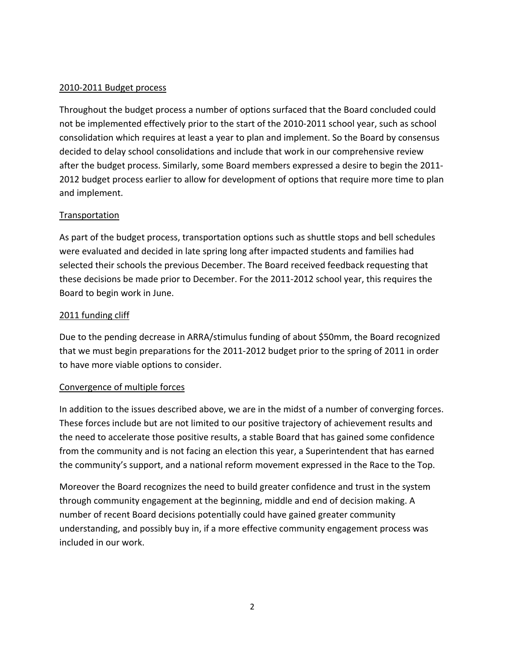## 2010‐2011 Budget process

Throughout the budget process a number of options surfaced that the Board concluded could not be implemented effectively prior to the start of the 2010-2011 school year, such as school consolidation which requires at least a year to plan and implement. So the Board by consensus decided to delay school consolidations and include that work in our comprehensive review after the budget process. Similarly, some Board members expressed a desire to begin the 2011‐ 2012 budget process earlier to allow for development of options that require more time to plan and implement.

# Transportation

As part of the budget process, transportation options such as shuttle stops and bell schedules were evaluated and decided in late spring long after impacted students and families had selected their schools the previous December. The Board received feedback requesting that these decisions be made prior to December. For the 2011‐2012 school year, this requires the Board to begin work in June.

## 2011 funding cliff

Due to the pending decrease in ARRA/stimulus funding of about \$50mm, the Board recognized that we must begin preparations for the 2011‐2012 budget prior to the spring of 2011 in order to have more viable options to consider.

# Convergence of multiple forces

In addition to the issues described above, we are in the midst of a number of converging forces. These forces include but are not limited to our positive trajectory of achievement results and the need to accelerate those positive results, a stable Board that has gained some confidence from the community and is not facing an election this year, a Superintendent that has earned the community's support, and a national reform movement expressed in the Race to the Top.

Moreover the Board recognizes the need to build greater confidence and trust in the system through community engagement at the beginning, middle and end of decision making. A number of recent Board decisions potentially could have gained greater community understanding, and possibly buy in, if a more effective community engagement process was included in our work.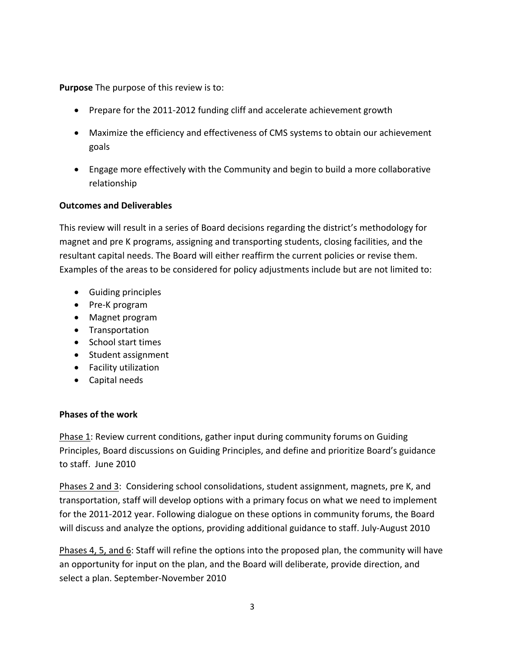**Purpose** The purpose of this review is to:

- Prepare for the 2011‐2012 funding cliff and accelerate achievement growth
- Maximize the efficiency and effectiveness of CMS systems to obtain our achievement goals
- Engage more effectively with the Community and begin to build a more collaborative relationship

## **Outcomes and Deliverables**

This review will result in a series of Board decisions regarding the district's methodology for magnet and pre K programs, assigning and transporting students, closing facilities, and the resultant capital needs. The Board will either reaffirm the current policies or revise them. Examples of the areas to be considered for policy adjustments include but are not limited to:

- Guiding principles
- Pre‐K program
- Magnet program
- Transportation
- School start times
- Student assignment
- Facility utilization
- Capital needs

#### **Phases of the work**

Phase 1: Review current conditions, gather input during community forums on Guiding Principles, Board discussions on Guiding Principles, and define and prioritize Board's guidance to staff. June 2010

Phases 2 and 3: Considering school consolidations, student assignment, magnets, pre K, and transportation, staff will develop options with a primary focus on what we need to implement for the 2011-2012 year. Following dialogue on these options in community forums, the Board will discuss and analyze the options, providing additional guidance to staff. July-August 2010

Phases 4, 5, and 6: Staff will refine the options into the proposed plan, the community will have an opportunity for input on the plan, and the Board will deliberate, provide direction, and select a plan. September‐November 2010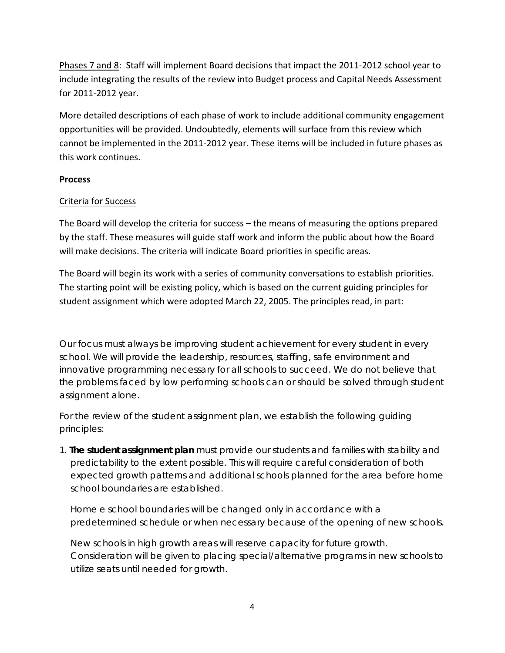Phases 7 and 8: Staff will implement Board decisions that impact the 2011-2012 school year to include integrating the results of the review into Budget process and Capital Needs Assessment for 2011‐2012 year.

More detailed descriptions of each phase of work to include additional community engagement opportunities will be provided. Undoubtedly, elements will surface from this review which cannot be implemented in the 2011‐2012 year. These items will be included in future phases as this work continues.

# **Process**

# Criteria for Success

The Board will develop the criteria for success – the means of measuring the options prepared by the staff. These measures will guide staff work and inform the public about how the Board will make decisions. The criteria will indicate Board priorities in specific areas.

The Board will begin its work with a series of community conversations to establish priorities. The starting point will be existing policy, which is based on the current guiding principles for student assignment which were adopted March 22, 2005. The principles read, in part:

*Our focus must always be improving student achievement for every student in every school. We will provide the leadership, resources, staffing, safe environment and innovative programming necessary for all schools to succeed. We do not believe that* the problems faced by low performing schools can or should be solved through student *assignment alone.* 

For the review of the student assignment plan, we establish the following quiding *principles:* 

*1. The student assignment plan must provide our students and families with stability and predictability to the extent possible. This will require careful consideration of both expected growth patterns and additional schools planned for the area before home school boundaries are established.* 

*Home e school boundaries will be changed only in accordance with a predetermined schedule or when necessary because of the opening of new schools.* 

*New schools in high growth areas will reserve capacity for future growth. Consideration will be given to placing special/alternative programs in new schools to utilize seats until needed for growth.*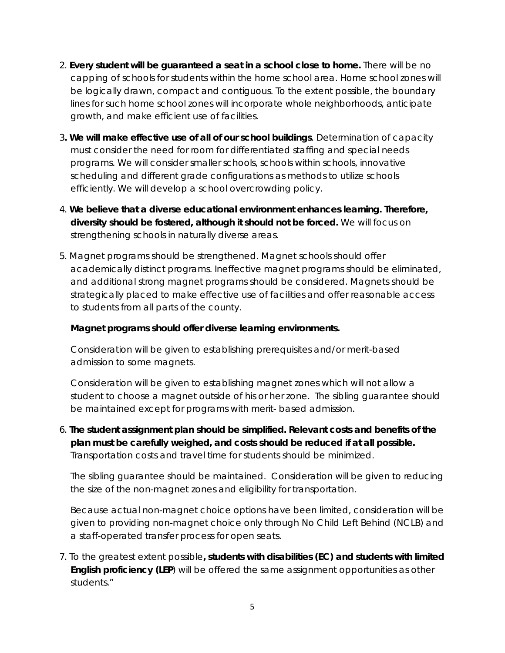- *2. Every student will be guaranteed a seat in a school close to home. There will be no capping of schools for students within the home school area. Home school zones will be logically drawn, compact and contiguous. To the extent possible, the boundary lines for such home school zones will incorporate whole neighborhoods, anticipate growth, and make efficient use of facilities.*
- *3. We will make effective use of all of our school buildings. Determination of capacity must consider the need for room for differentiated staffing and special needs programs. We will consider smaller schools, schools within schools, innovative scheduling and different grade configurations as methods to utilize schools efficiently. We will develop a school overcrowding policy.*
- *4. We believe that a diverse educational environment enhances learning. Therefore, diversity should be fostered, although it should not be forced. We will focus on strengthening schools in naturally diverse areas.*
- *5. Magnet programs should be strengthened. Magnet schools should offer academically distinct programs. Ineffective magnet programs should be eliminated, and additional strong magnet programs should be considered. Magnets should be strategically placed to make effective use of facilities and offer reasonable access to students from all parts of the county.*

# *Magnet programs should offer diverse learning environments.*

*Consideration will be given to establishing prerequisites and/or merit-based admission to some magnets.* 

*Consideration will be given to establishing magnet zones which will not allow a student to choose a magnet outside of his or her zone. The sibling guarantee should be maintained except for programs with merit- based admission.* 

*6. The student assignment plan should be simplified. Relevant costs and benefits of the plan must be carefully weighed, and costs should be reduced if at all possible. Transportation costs and travel time for students should be minimized.* 

*The sibling guarantee should be maintained. Consideration will be given to reducing the size of the non-magnet zones and eligibility for transportation.* 

*Because actual non-magnet choice options have been limited, consideration will be given to providing non-magnet choice only through No Child Left Behind (NCLB) and a staff-operated transfer process for open seats.* 

*7. To the greatest extent possible, students with disabilities (EC) and students with limited English proficiency (LEP) will be offered the same assignment opportunities as other students."*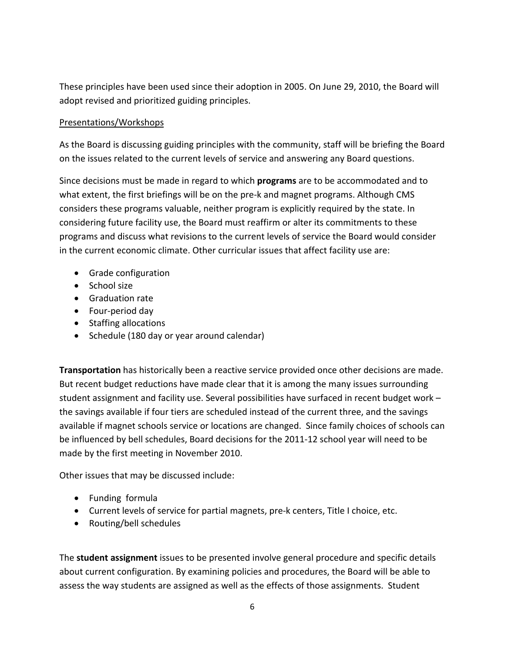These principles have been used since their adoption in 2005. On June 29, 2010, the Board will adopt revised and prioritized guiding principles.

## Presentations/Workshops

As the Board is discussing guiding principles with the community, staff will be briefing the Board on the issues related to the current levels of service and answering any Board questions.

Since decisions must be made in regard to which **programs** are to be accommodated and to what extent, the first briefings will be on the pre-k and magnet programs. Although CMS considers these programs valuable, neither program is explicitly required by the state. In considering future facility use, the Board must reaffirm or alter its commitments to these programs and discuss what revisions to the current levels of service the Board would consider in the current economic climate. Other curricular issues that affect facility use are:

- Grade configuration
- School size
- Graduation rate
- Four‐period day
- Staffing allocations
- Schedule (180 day or year around calendar)

**Transportation** has historically been a reactive service provided once other decisions are made. But recent budget reductions have made clear that it is among the many issues surrounding student assignment and facility use. Several possibilities have surfaced in recent budget work – the savings available if four tiers are scheduled instead of the current three, and the savings available if magnet schools service or locations are changed. Since family choices of schools can be influenced by bell schedules, Board decisions for the 2011‐12 school year will need to be made by the first meeting in November 2010.

Other issues that may be discussed include:

- Funding formula
- Current levels of service for partial magnets, pre‐k centers, Title I choice, etc.
- Routing/bell schedules

The **student assignment** issues to be presented involve general procedure and specific details about current configuration. By examining policies and procedures, the Board will be able to assess the way students are assigned as well as the effects of those assignments. Student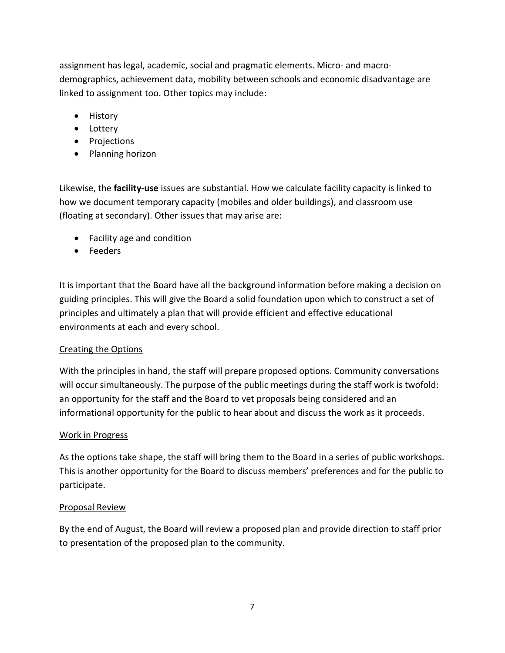assignment has legal, academic, social and pragmatic elements. Micro‐ and macro‐ demographics, achievement data, mobility between schools and economic disadvantage are linked to assignment too. Other topics may include:

- History
- Lottery
- Projections
- Planning horizon

Likewise, the **facility‐use** issues are substantial. How we calculate facility capacity is linked to how we document temporary capacity (mobiles and older buildings), and classroom use (floating at secondary). Other issues that may arise are:

- Facility age and condition
- Feeders

It is important that the Board have all the background information before making a decision on guiding principles. This will give the Board a solid foundation upon which to construct a set of principles and ultimately a plan that will provide efficient and effective educational environments at each and every school.

# Creating the Options

With the principles in hand, the staff will prepare proposed options. Community conversations will occur simultaneously. The purpose of the public meetings during the staff work is twofold: an opportunity for the staff and the Board to vet proposals being considered and an informational opportunity for the public to hear about and discuss the work as it proceeds.

# Work in Progress

As the options take shape, the staff will bring them to the Board in a series of public workshops. This is another opportunity for the Board to discuss members' preferences and for the public to participate.

# Proposal Review

By the end of August, the Board will review a proposed plan and provide direction to staff prior to presentation of the proposed plan to the community.